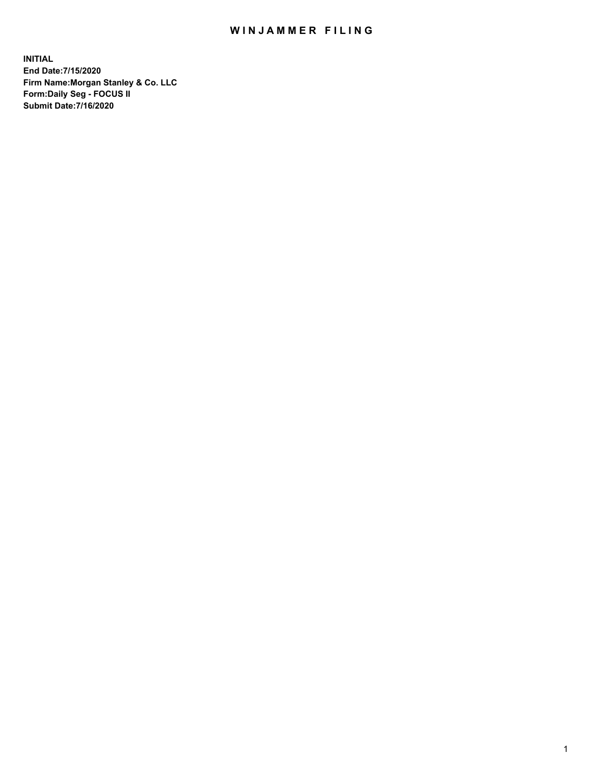## WIN JAMMER FILING

**INITIAL End Date:7/15/2020 Firm Name:Morgan Stanley & Co. LLC Form:Daily Seg - FOCUS II Submit Date:7/16/2020**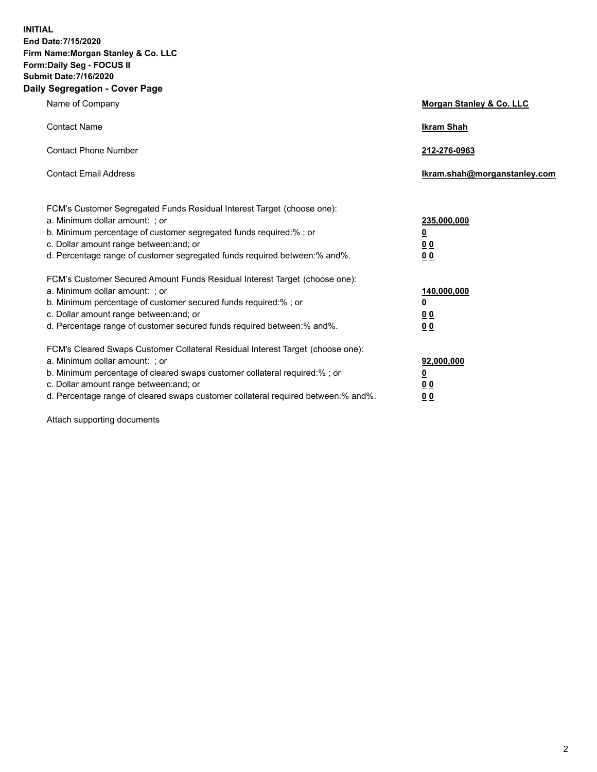**INITIAL End Date:7/15/2020 Firm Name:Morgan Stanley & Co. LLC Form:Daily Seg - FOCUS II Submit Date:7/16/2020 Daily Segregation - Cover Page**

| Name of Company                                                                                                                                                                                                                                                                                                                | Morgan Stanley & Co. LLC                        |
|--------------------------------------------------------------------------------------------------------------------------------------------------------------------------------------------------------------------------------------------------------------------------------------------------------------------------------|-------------------------------------------------|
| <b>Contact Name</b>                                                                                                                                                                                                                                                                                                            | <b>Ikram Shah</b>                               |
| <b>Contact Phone Number</b>                                                                                                                                                                                                                                                                                                    | 212-276-0963                                    |
| <b>Contact Email Address</b>                                                                                                                                                                                                                                                                                                   | Ikram.shah@morganstanley.com                    |
| FCM's Customer Segregated Funds Residual Interest Target (choose one):<br>a. Minimum dollar amount: ; or<br>b. Minimum percentage of customer segregated funds required:% ; or<br>c. Dollar amount range between: and; or<br>d. Percentage range of customer segregated funds required between:% and%.                         | 235,000,000<br><u>0</u><br><u>00</u><br>00      |
| FCM's Customer Secured Amount Funds Residual Interest Target (choose one):<br>a. Minimum dollar amount: ; or<br>b. Minimum percentage of customer secured funds required:% ; or<br>c. Dollar amount range between: and; or<br>d. Percentage range of customer secured funds required between:% and%.                           | 140,000,000<br><u>0</u><br>0 <sub>0</sub><br>00 |
| FCM's Cleared Swaps Customer Collateral Residual Interest Target (choose one):<br>a. Minimum dollar amount: ; or<br>b. Minimum percentage of cleared swaps customer collateral required:% ; or<br>c. Dollar amount range between: and; or<br>d. Percentage range of cleared swaps customer collateral required between:% and%. | 92,000,000<br><u>0</u><br>0 Q<br>0 <sub>0</sub> |

Attach supporting documents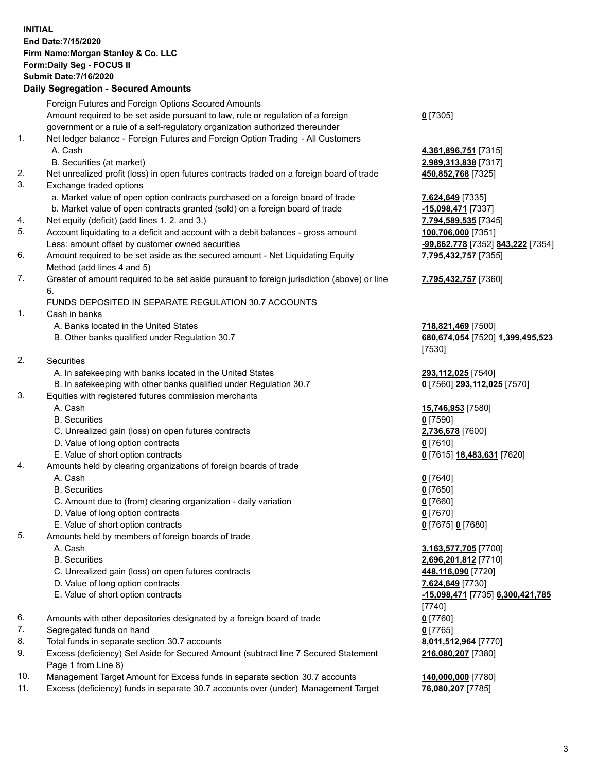## **INITIAL End Date:7/15/2020 Firm Name:Morgan Stanley & Co. LLC Form:Daily Seg - FOCUS II Submit Date:7/16/2020**

## **Daily Segregation - Secured Amounts**

|          | Foreign Futures and Foreign Options Secured Amounts                                                                                  |                                   |
|----------|--------------------------------------------------------------------------------------------------------------------------------------|-----------------------------------|
|          | Amount required to be set aside pursuant to law, rule or regulation of a foreign                                                     | $0$ [7305]                        |
|          | government or a rule of a self-regulatory organization authorized thereunder                                                         |                                   |
| 1.       | Net ledger balance - Foreign Futures and Foreign Option Trading - All Customers                                                      |                                   |
|          | A. Cash                                                                                                                              | 4,361,896,751 [7315]              |
|          | B. Securities (at market)                                                                                                            | 2,989,313,838 [7317]              |
| 2.       | Net unrealized profit (loss) in open futures contracts traded on a foreign board of trade                                            | 450,852,768 [7325]                |
| 3.       | Exchange traded options                                                                                                              |                                   |
|          | a. Market value of open option contracts purchased on a foreign board of trade                                                       | 7,624,649 [7335]                  |
|          | b. Market value of open contracts granted (sold) on a foreign board of trade                                                         | -15,098,471 [7337]                |
| 4.       | Net equity (deficit) (add lines 1.2. and 3.)                                                                                         | 7,794,589,535 [7345]              |
| 5.       | Account liquidating to a deficit and account with a debit balances - gross amount                                                    | 100,706,000 [7351]                |
|          | Less: amount offset by customer owned securities                                                                                     | -99,862,778 [7352] 843,222 [7354] |
| 6.       | Amount required to be set aside as the secured amount - Net Liquidating Equity<br>Method (add lines 4 and 5)                         | 7,795,432,757 [7355]              |
| 7.       | Greater of amount required to be set aside pursuant to foreign jurisdiction (above) or line                                          | 7,795,432,757 [7360]              |
|          | 6.                                                                                                                                   |                                   |
|          | FUNDS DEPOSITED IN SEPARATE REGULATION 30.7 ACCOUNTS                                                                                 |                                   |
| 1.       | Cash in banks                                                                                                                        |                                   |
|          | A. Banks located in the United States                                                                                                | 718,821,469 [7500]                |
|          | B. Other banks qualified under Regulation 30.7                                                                                       | 680,674,054 [7520] 1,399,495,523  |
|          |                                                                                                                                      | [7530]                            |
| 2.       | Securities                                                                                                                           |                                   |
|          | A. In safekeeping with banks located in the United States                                                                            | 293,112,025 [7540]                |
|          | B. In safekeeping with other banks qualified under Regulation 30.7                                                                   | 0 [7560] 293,112,025 [7570]       |
| 3.       | Equities with registered futures commission merchants                                                                                |                                   |
|          | A. Cash                                                                                                                              | 15,746,953 [7580]                 |
|          | <b>B.</b> Securities                                                                                                                 | $0$ [7590]                        |
|          | C. Unrealized gain (loss) on open futures contracts                                                                                  | 2,736,678 [7600]                  |
|          | D. Value of long option contracts                                                                                                    | $0$ [7610]                        |
|          | E. Value of short option contracts                                                                                                   | 0 [7615] <b>18,483,631</b> [7620] |
| 4.       | Amounts held by clearing organizations of foreign boards of trade                                                                    |                                   |
|          | A. Cash                                                                                                                              | $0$ [7640]                        |
|          | <b>B.</b> Securities                                                                                                                 | $0$ [7650]                        |
|          | C. Amount due to (from) clearing organization - daily variation                                                                      | $0$ [7660]                        |
|          | D. Value of long option contracts                                                                                                    | $0$ [7670]                        |
|          | E. Value of short option contracts                                                                                                   | 0 [7675] 0 [7680]                 |
| 5.       | Amounts held by members of foreign boards of trade                                                                                   |                                   |
|          | A. Cash                                                                                                                              | 3,163,577,705 [7700]              |
|          | <b>B.</b> Securities                                                                                                                 | 2,696,201,812 [7710]              |
|          | C. Unrealized gain (loss) on open futures contracts                                                                                  | 448,116,090 [7720]                |
|          | D. Value of long option contracts                                                                                                    | 7,624,649 [7730]                  |
|          | E. Value of short option contracts                                                                                                   | -15,098,471 [7735] 6,300,421,785  |
|          |                                                                                                                                      | [7740]                            |
| 6.       | Amounts with other depositories designated by a foreign board of trade                                                               | $0$ [7760]                        |
| 7.       | Segregated funds on hand                                                                                                             | $0$ [7765]                        |
| 8.<br>9. | Total funds in separate section 30.7 accounts<br>Excess (deficiency) Set Aside for Secured Amount (subtract line 7 Secured Statement | 8,011,512,964 [7770]              |
|          | Page 1 from Line 8)                                                                                                                  | 216,080,207 [7380]                |
| 10.      | Management Target Amount for Excess funds in separate section 30.7 accounts                                                          | 140,000,000 [7780]                |

11. Excess (deficiency) funds in separate 30.7 accounts over (under) Management Target **76,080,207** [7785]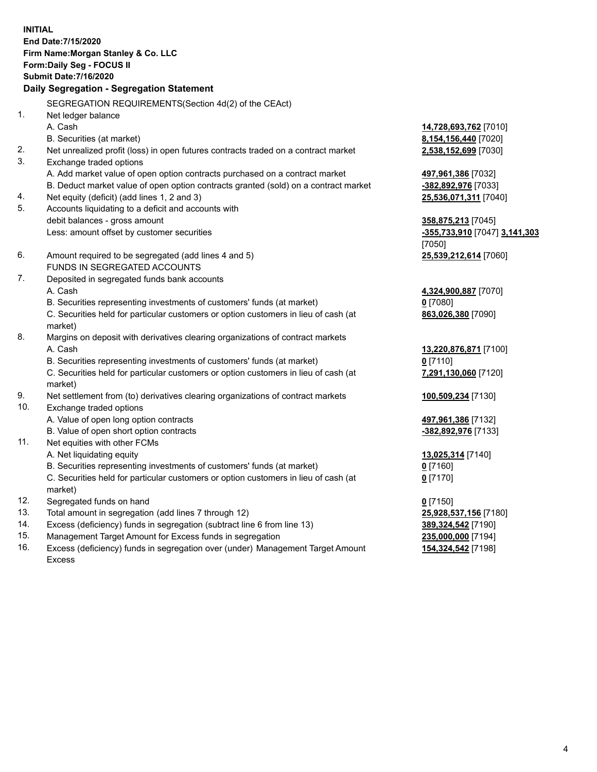**INITIAL End Date:7/15/2020 Firm Name:Morgan Stanley & Co. LLC Form:Daily Seg - FOCUS II Submit Date:7/16/2020 Daily Segregation - Segregation Statement** SEGREGATION REQUIREMENTS(Section 4d(2) of the CEAct) 1. Net ledger balance A. Cash **14,728,693,762** [7010] B. Securities (at market) **8,154,156,440** [7020] 2. Net unrealized profit (loss) in open futures contracts traded on a contract market **2,538,152,699** [7030] 3. Exchange traded options A. Add market value of open option contracts purchased on a contract market **497,961,386** [7032] B. Deduct market value of open option contracts granted (sold) on a contract market **-382,892,976** [7033] 4. Net equity (deficit) (add lines 1, 2 and 3) **25,536,071,311** [7040] 5. Accounts liquidating to a deficit and accounts with debit balances - gross amount **358,875,213** [7045] Less: amount offset by customer securities **-355,733,910** [7047] **3,141,303** [7050] 6. Amount required to be segregated (add lines 4 and 5) **25,539,212,614** [7060] FUNDS IN SEGREGATED ACCOUNTS 7. Deposited in segregated funds bank accounts A. Cash **4,324,900,887** [7070] B. Securities representing investments of customers' funds (at market) **0** [7080] C. Securities held for particular customers or option customers in lieu of cash (at market) **863,026,380** [7090] 8. Margins on deposit with derivatives clearing organizations of contract markets A. Cash **13,220,876,871** [7100] B. Securities representing investments of customers' funds (at market) **0** [7110] C. Securities held for particular customers or option customers in lieu of cash (at market) **7,291,130,060** [7120] 9. Net settlement from (to) derivatives clearing organizations of contract markets **100,509,234** [7130] 10. Exchange traded options A. Value of open long option contracts **497,961,386** [7132] B. Value of open short option contracts **-382,892,976** [7133] 11. Net equities with other FCMs A. Net liquidating equity **13,025,314** [7140] B. Securities representing investments of customers' funds (at market) **0** [7160] C. Securities held for particular customers or option customers in lieu of cash (at market) **0** [7170] 12. Segregated funds on hand **0** [7150] 13. Total amount in segregation (add lines 7 through 12) **25,928,537,156** [7180] 14. Excess (deficiency) funds in segregation (subtract line 6 from line 13) **389,324,542** [7190] 15. Management Target Amount for Excess funds in segregation **235,000,000** [7194]

16. Excess (deficiency) funds in segregation over (under) Management Target Amount Excess

**154,324,542** [7198]